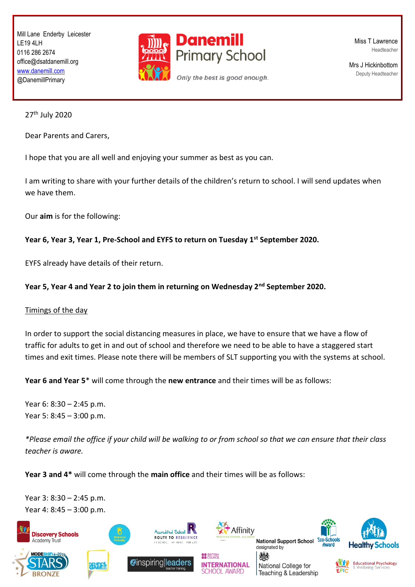Mill Lane Enderby Leicester LE19 4LH 0116 286 2674 office@dsatdanemill.org [www.danemill.com](http://www.danemill.com/) @DanemillPrimary



Miss T Lawrence Headteacher

Mrs J Hickinbottom Deputy Headteacher

27th July 2020

Dear Parents and Carers,

I hope that you are all well and enjoying your summer as best as you can.

I am writing to share with your further details of the children's return to school. I will send updates when we have them.

Our **aim** is for the following:

## **Year 6, Year 3, Year 1, Pre-School and EYFS to return on Tuesday 1st September 2020.**

EYFS already have details of their return.

## **Year 5, Year 4 and Year 2 to join them in returning on Wednesday 2nd September 2020.**

## Timings of the day

In order to support the social distancing measures in place, we have to ensure that we have a flow of traffic for adults to get in and out of school and therefore we need to be able to have a staggered start times and exit times. Please note there will be members of SLT supporting you with the systems at school.

**Year 6 and Year 5**\* will come through the **new entrance** and their times will be as follows:

Year 6: 8:30 – 2:45 p.m. Year 5: 8:45 – 3:00 p.m.

*\*Please email the office if your child will be walking to or from school so that we can ensure that their class teacher is aware.* 

**OO** BRITISH

**Year 3 and 4\*** will come through the **main office** and their times will be as follows:

**CONDUCTED**<br>**CONDUCTO**<br>PUTE TO PESULENC

Year 3: 8:30 – 2:45 p.m. Year 4: 8:45 – 3:00 p.m.





**INTERNATIONAL** 

**CHOOL AWARD** 

National Support School EC designated by

National College for

燃